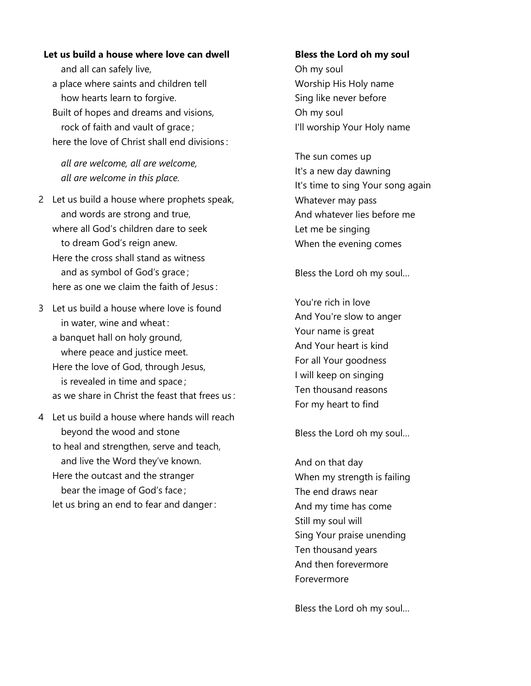## **Let us build a house where love can dwell**

and all can safely live,

a place where saints and children tell how hearts learn to forgive. Built of hopes and dreams and visions, rock of faith and vault of grace ; here the love of Christ shall end divisions :

*all are welcome, all are welcome, all are welcome in this place.*

- 2 Let us build a house where prophets speak, and words are strong and true, where all God's children dare to seek to dream God's reign anew. Here the cross shall stand as witness and as symbol of God's grace ; here as one we claim the faith of Jesus :
- 3 Let us build a house where love is found in water, wine and wheat :
	- a banquet hall on holy ground, where peace and justice meet. Here the love of God, through Jesus, is revealed in time and space ; as we share in Christ the feast that frees us :
- 4 Let us build a house where hands will reach beyond the wood and stone to heal and strengthen, serve and teach, and live the Word they've known. Here the outcast and the stranger bear the image of God's face ; let us bring an end to fear and danger :

## **Bless the Lord oh my soul**

Oh my soul Worship His Holy name Sing like never before Oh my soul I'll worship Your Holy name

The sun comes up It's a new day dawning It's time to sing Your song again Whatever may pass And whatever lies before me Let me be singing When the evening comes

Bless the Lord oh my soul…

You're rich in love And You're slow to anger Your name is great And Your heart is kind For all Your goodness I will keep on singing Ten thousand reasons For my heart to find

Bless the Lord oh my soul…

And on that day When my strength is failing The end draws near And my time has come Still my soul will Sing Your praise unending Ten thousand years And then forevermore Forevermore

Bless the Lord oh my soul…